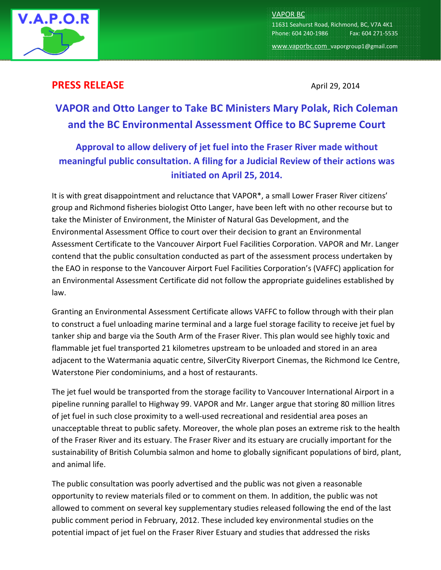

VAPOR BC 11631 Seahurst Road, Richmond, BC, V7A 4K1 Phone: 604 240-1986 Fax: 604 271-5535 www.vaporbc.com vaporgroup1@gmail.com

## **PRESS RELEASE** April 29, 2014

## VAPOR and Otto Langer to Take BC Ministers Mary Polak, Rich Coleman and the BC Environmental Assessment Office to BC Supreme Court

## Approval to allow delivery of jet fuel into the Fraser River made without meaningful public consultation. A filing for a Judicial Review of their actions was initiated on April 25, 2014.

It is with great disappointment and reluctance that VAPOR\*, a small Lower Fraser River citizens' group and Richmond fisheries biologist Otto Langer, have been left with no other recourse but to take the Minister of Environment, the Minister of Natural Gas Development, and the Environmental Assessment Office to court over their decision to grant an Environmental Assessment Certificate to the Vancouver Airport Fuel Facilities Corporation. VAPOR and Mr. Langer contend that the public consultation conducted as part of the assessment process undertaken by the EAO in response to the Vancouver Airport Fuel Facilities Corporation's (VAFFC) application for an Environmental Assessment Certificate did not follow the appropriate guidelines established by law.

Granting an Environmental Assessment Certificate allows VAFFC to follow through with their plan to construct a fuel unloading marine terminal and a large fuel storage facility to receive jet fuel by tanker ship and barge via the South Arm of the Fraser River. This plan would see highly toxic and flammable jet fuel transported 21 kilometres upstream to be unloaded and stored in an area adjacent to the Watermania aquatic centre, SilverCity Riverport Cinemas, the Richmond Ice Centre, Waterstone Pier condominiums, and a host of restaurants.

The jet fuel would be transported from the storage facility to Vancouver International Airport in a pipeline running parallel to Highway 99. VAPOR and Mr. Langer argue that storing 80 million litres of jet fuel in such close proximity to a well-used recreational and residential area poses an unacceptable threat to public safety. Moreover, the whole plan poses an extreme risk to the health of the Fraser River and its estuary. The Fraser River and its estuary are crucially important for the sustainability of British Columbia salmon and home to globally significant populations of bird, plant, and animal life.

The public consultation was poorly advertised and the public was not given a reasonable opportunity to review materials filed or to comment on them. In addition, the public was not allowed to comment on several key supplementary studies released following the end of the last public comment period in February, 2012. These included key environmental studies on the potential impact of jet fuel on the Fraser River Estuary and studies that addressed the risks